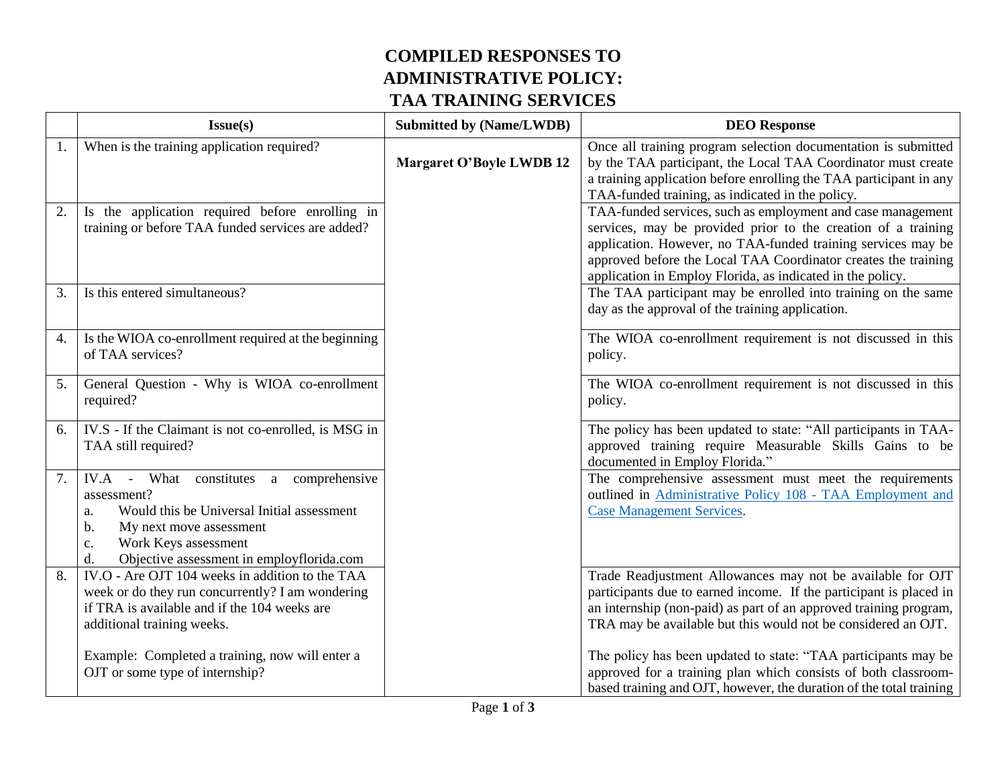## **COMPILED RESPONSES TO ADMINISTRATIVE POLICY: TAA TRAINING SERVICES**

|    | Issue(s)                                                                                                                                                                                                                     | <b>Submitted by (Name/LWDB)</b> | <b>DEO</b> Response                                                                                                                                                                                                                                                                                                          |
|----|------------------------------------------------------------------------------------------------------------------------------------------------------------------------------------------------------------------------------|---------------------------------|------------------------------------------------------------------------------------------------------------------------------------------------------------------------------------------------------------------------------------------------------------------------------------------------------------------------------|
| 1. | When is the training application required?                                                                                                                                                                                   | <b>Margaret O'Boyle LWDB 12</b> | Once all training program selection documentation is submitted<br>by the TAA participant, the Local TAA Coordinator must create<br>a training application before enrolling the TAA participant in any<br>TAA-funded training, as indicated in the policy.                                                                    |
| 2. | Is the application required before enrolling in<br>training or before TAA funded services are added?                                                                                                                         |                                 | TAA-funded services, such as employment and case management<br>services, may be provided prior to the creation of a training<br>application. However, no TAA-funded training services may be<br>approved before the Local TAA Coordinator creates the training<br>application in Employ Florida, as indicated in the policy. |
| 3. | Is this entered simultaneous?                                                                                                                                                                                                |                                 | The TAA participant may be enrolled into training on the same<br>day as the approval of the training application.                                                                                                                                                                                                            |
| 4. | Is the WIOA co-enrollment required at the beginning<br>of TAA services?                                                                                                                                                      |                                 | The WIOA co-enrollment requirement is not discussed in this<br>policy.                                                                                                                                                                                                                                                       |
| 5. | General Question - Why is WIOA co-enrollment<br>required?                                                                                                                                                                    |                                 | The WIOA co-enrollment requirement is not discussed in this<br>policy.                                                                                                                                                                                                                                                       |
| 6. | IV.S - If the Claimant is not co-enrolled, is MSG in<br>TAA still required?                                                                                                                                                  |                                 | The policy has been updated to state: "All participants in TAA-<br>approved training require Measurable Skills Gains to be<br>documented in Employ Florida."                                                                                                                                                                 |
| 7. | IV.A - What constitutes a comprehensive<br>assessment?<br>Would this be Universal Initial assessment<br>a.<br>My next move assessment<br>b.<br>Work Keys assessment<br>c.<br>Objective assessment in employflorida.com<br>d. |                                 | The comprehensive assessment must meet the requirements<br>outlined in Administrative Policy 108 - TAA Employment and<br><b>Case Management Services.</b>                                                                                                                                                                    |
| 8. | IV.O - Are OJT 104 weeks in addition to the TAA<br>week or do they run concurrently? I am wondering<br>if TRA is available and if the 104 weeks are<br>additional training weeks.                                            |                                 | Trade Readjustment Allowances may not be available for OJT<br>participants due to earned income. If the participant is placed in<br>an internship (non-paid) as part of an approved training program,<br>TRA may be available but this would not be considered an OJT.                                                       |
|    | Example: Completed a training, now will enter a<br>OJT or some type of internship?                                                                                                                                           |                                 | The policy has been updated to state: "TAA participants may be<br>approved for a training plan which consists of both classroom-<br>based training and OJT, however, the duration of the total training                                                                                                                      |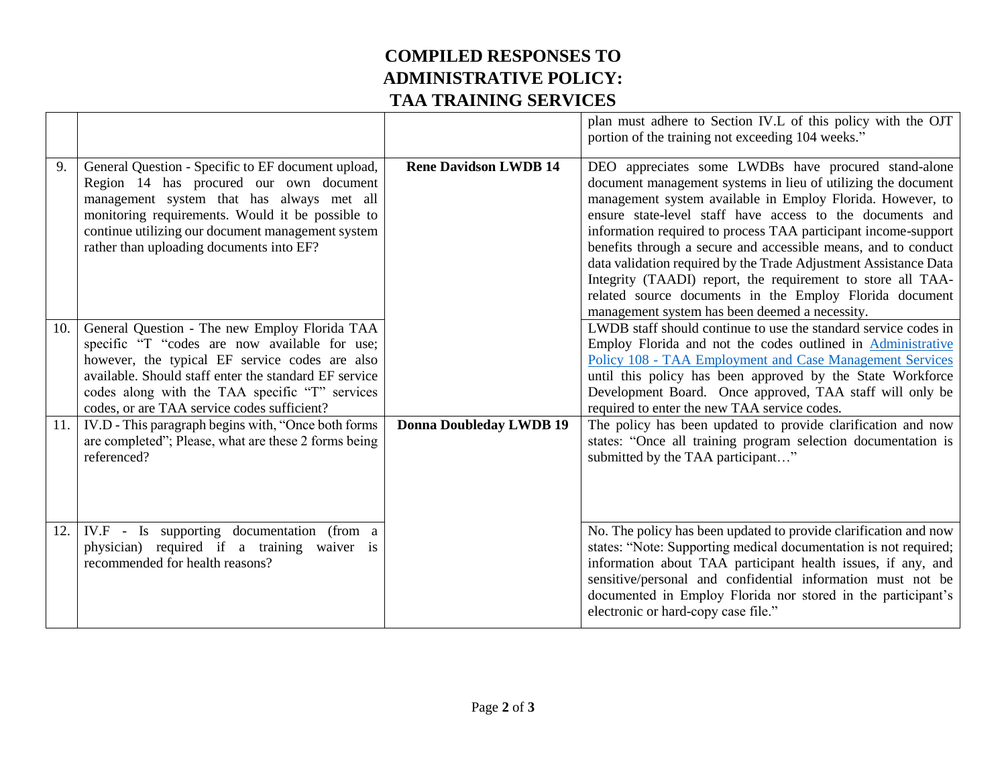## **COMPILED RESPONSES TO ADMINISTRATIVE POLICY: TAA TRAINING SERVICES**

|     |                                                                                                                                                                                                                                                                                                            |                                | plan must adhere to Section IV.L of this policy with the OJT<br>portion of the training not exceeding 104 weeks."                                                                                                                                                                                                                                                                                                                                                                                                                                                                                                                    |
|-----|------------------------------------------------------------------------------------------------------------------------------------------------------------------------------------------------------------------------------------------------------------------------------------------------------------|--------------------------------|--------------------------------------------------------------------------------------------------------------------------------------------------------------------------------------------------------------------------------------------------------------------------------------------------------------------------------------------------------------------------------------------------------------------------------------------------------------------------------------------------------------------------------------------------------------------------------------------------------------------------------------|
| 9.  | General Question - Specific to EF document upload,<br>Region 14 has procured our own document<br>management system that has always met all<br>monitoring requirements. Would it be possible to<br>continue utilizing our document management system<br>rather than uploading documents into EF?            | <b>Rene Davidson LWDB 14</b>   | DEO appreciates some LWDBs have procured stand-alone<br>document management systems in lieu of utilizing the document<br>management system available in Employ Florida. However, to<br>ensure state-level staff have access to the documents and<br>information required to process TAA participant income-support<br>benefits through a secure and accessible means, and to conduct<br>data validation required by the Trade Adjustment Assistance Data<br>Integrity (TAADI) report, the requirement to store all TAA-<br>related source documents in the Employ Florida document<br>management system has been deemed a necessity. |
| 10. | General Question - The new Employ Florida TAA<br>specific "T "codes are now available for use;<br>however, the typical EF service codes are also<br>available. Should staff enter the standard EF service<br>codes along with the TAA specific "T" services<br>codes, or are TAA service codes sufficient? |                                | LWDB staff should continue to use the standard service codes in<br>Employ Florida and not the codes outlined in Administrative<br>Policy 108 - TAA Employment and Case Management Services<br>until this policy has been approved by the State Workforce<br>Development Board. Once approved, TAA staff will only be<br>required to enter the new TAA service codes.                                                                                                                                                                                                                                                                 |
| 11. | IV.D - This paragraph begins with, "Once both forms<br>are completed"; Please, what are these 2 forms being<br>referenced?                                                                                                                                                                                 | <b>Donna Doubleday LWDB 19</b> | The policy has been updated to provide clarification and now<br>states: "Once all training program selection documentation is<br>submitted by the TAA participant"                                                                                                                                                                                                                                                                                                                                                                                                                                                                   |
| 12. | IV.F - Is supporting documentation (from a<br>physician) required if a training waiver is<br>recommended for health reasons?                                                                                                                                                                               |                                | No. The policy has been updated to provide clarification and now<br>states: "Note: Supporting medical documentation is not required;<br>information about TAA participant health issues, if any, and<br>sensitive/personal and confidential information must not be<br>documented in Employ Florida nor stored in the participant's<br>electronic or hard-copy case file."                                                                                                                                                                                                                                                           |